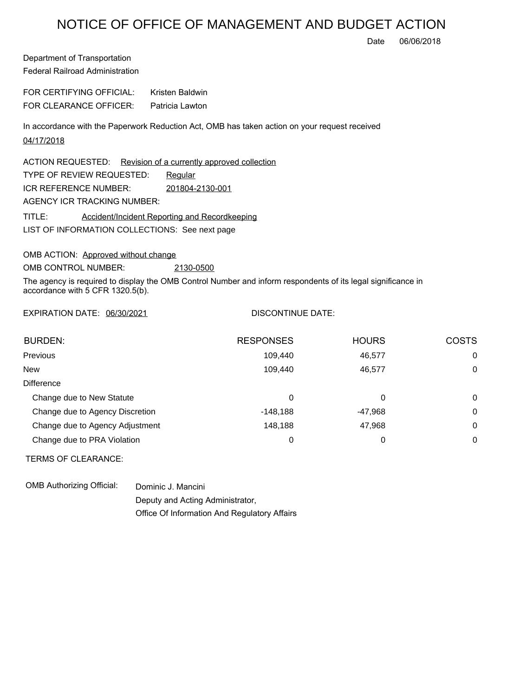## NOTICE OF OFFICE OF MANAGEMENT AND BUDGET ACTION

Date 06/06/2018

Department of Transportation Federal Railroad Administration

FOR CERTIFYING OFFICIAL: Kristen Baldwin FOR CLEARANCE OFFICER: Patricia Lawton

In accordance with the Paperwork Reduction Act, OMB has taken action on your request received 04/17/2018

LIST OF INFORMATION COLLECTIONS: See next page ACTION REQUESTED: Revision of a currently approved collection TYPE OF REVIEW REQUESTED: Requiar TITLE: Accident/Incident Reporting and Recordkeeping ICR REFERENCE NUMBER: 201804-2130-001 AGENCY ICR TRACKING NUMBER:

OMB ACTION: Approved without change

OMB CONTROL NUMBER: 2130-0500

The agency is required to display the OMB Control Number and inform respondents of its legal significance in accordance with 5 CFR 1320.5(b).

EXPIRATION DATE: 06/30/2021

## DISCONTINUE DATE:

| <b>BURDEN:</b>                  | <b>RESPONSES</b> | <b>HOURS</b> | <b>COSTS</b> |
|---------------------------------|------------------|--------------|--------------|
| Previous                        | 109,440          | 46,577       | $\Omega$     |
| <b>New</b>                      | 109.440          | 46.577       | 0            |
| <b>Difference</b>               |                  |              |              |
| Change due to New Statute       | 0                | 0            | $\Omega$     |
| Change due to Agency Discretion | $-148.188$       | -47,968      | $\Omega$     |
| Change due to Agency Adjustment | 148,188          | 47,968       | $\Omega$     |
| Change due to PRA Violation     | 0                | 0            | $\Omega$     |

TERMS OF CLEARANCE:

OMB Authorizing Official: Dominic J. Mancini

Deputy and Acting Administrator, Office Of Information And Regulatory Affairs